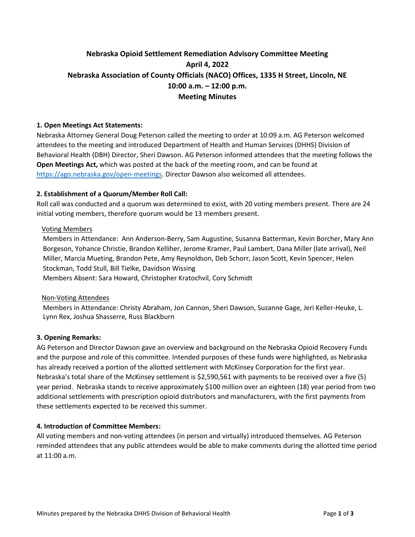# **Nebraska Opioid Settlement Remediation Advisory Committee Meeting April 4, 2022 Nebraska Association of County Officials (NACO) Offices, 1335 H Street, Lincoln, NE 10:00 a.m. – 12:00 p.m. Meeting Minutes**

# **1. Open Meetings Act Statements:**

Nebraska Attorney General Doug Peterson called the meeting to order at 10:09 a.m. AG Peterson welcomed attendees to the meeting and introduced Department of Health and Human Services (DHHS) Division of Behavioral Health (DBH) Director, Sheri Dawson. AG Peterson informed attendees that the meeting follows the **Open Meetings Act,** which was posted at the back of the meeting room, and can be found at [https://ago.nebraska.gov/open-meetings.](https://ago.nebraska.gov/open-meetings) Director Dawson also welcomed all attendees.

# **2. Establishment of a Quorum/Member Roll Call:**

Roll call was conducted and a quorum was determined to exist, with 20 voting members present. There are 24 initial voting members, therefore quorum would be 13 members present.

# Voting Members

Members in Attendance: Ann Anderson-Berry, Sam Augustine, Susanna Batterman, Kevin Borcher, Mary Ann Borgeson, Yohance Christie, Brandon Kelliher, Jerome Kramer, Paul Lambert, Dana Miller (late arrival), Neil Miller, Marcia Mueting, Brandon Pete, Amy Reynoldson, Deb Schorr, Jason Scott, Kevin Spencer, Helen Stockman, Todd Stull, Bill Tielke, Davidson Wissing Members Absent: Sara Howard, Christopher Kratochvil, Cory Schmidt

# Non-Voting Attendees

Members in Attendance: Christy Abraham, Jon Cannon, Sheri Dawson, Suzanne Gage, Jeri Keller-Heuke, L. Lynn Rex, Joshua Shasserre, Russ Blackburn

# **3. Opening Remarks:**

AG Peterson and Director Dawson gave an overview and background on the Nebraska Opioid Recovery Funds and the purpose and role of this committee. Intended purposes of these funds were highlighted, as Nebraska has already received a portion of the allotted settlement with McKinsey Corporation for the first year. Nebraska's total share of the McKinsey settlement is \$2,590,561 with payments to be received over a five (5) year period. Nebraska stands to receive approximately \$100 million over an eighteen (18) year period from two additional settlements with prescription opioid distributors and manufacturers, with the first payments from these settlements expected to be received this summer.

# **4. Introduction of Committee Members:**

All voting members and non-voting attendees (in person and virtually) introduced themselves. AG Peterson reminded attendees that any public attendees would be able to make comments during the allotted time period at 11:00 a.m.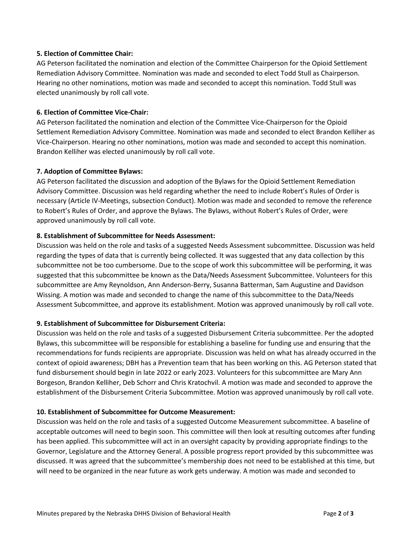# **5. Election of Committee Chair:**

AG Peterson facilitated the nomination and election of the Committee Chairperson for the Opioid Settlement Remediation Advisory Committee. Nomination was made and seconded to elect Todd Stull as Chairperson. Hearing no other nominations, motion was made and seconded to accept this nomination. Todd Stull was elected unanimously by roll call vote.

# **6. Election of Committee Vice-Chair:**

AG Peterson facilitated the nomination and election of the Committee Vice-Chairperson for the Opioid Settlement Remediation Advisory Committee. Nomination was made and seconded to elect Brandon Kelliher as Vice-Chairperson. Hearing no other nominations, motion was made and seconded to accept this nomination. Brandon Kelliher was elected unanimously by roll call vote.

# **7. Adoption of Committee Bylaws:**

AG Peterson facilitated the discussion and adoption of the Bylaws for the Opioid Settlement Remediation Advisory Committee. Discussion was held regarding whether the need to include Robert's Rules of Order is necessary (Article IV-Meetings, subsection Conduct). Motion was made and seconded to remove the reference to Robert's Rules of Order, and approve the Bylaws. The Bylaws, without Robert's Rules of Order, were approved unanimously by roll call vote.

# **8. Establishment of Subcommittee for Needs Assessment:**

Discussion was held on the role and tasks of a suggested Needs Assessment subcommittee. Discussion was held regarding the types of data that is currently being collected. It was suggested that any data collection by this subcommittee not be too cumbersome. Due to the scope of work this subcommittee will be performing, it was suggested that this subcommittee be known as the Data/Needs Assessment Subcommittee. Volunteers for this subcommittee are Amy Reynoldson, Ann Anderson-Berry, Susanna Batterman, Sam Augustine and Davidson Wissing. A motion was made and seconded to change the name of this subcommittee to the Data/Needs Assessment Subcommittee, and approve its establishment. Motion was approved unanimously by roll call vote.

# **9. Establishment of Subcommittee for Disbursement Criteria:**

Discussion was held on the role and tasks of a suggested Disbursement Criteria subcommittee. Per the adopted Bylaws, this subcommittee will be responsible for establishing a baseline for funding use and ensuring that the recommendations for funds recipients are appropriate. Discussion was held on what has already occurred in the context of opioid awareness; DBH has a Prevention team that has been working on this. AG Peterson stated that fund disbursement should begin in late 2022 or early 2023. Volunteers for this subcommittee are Mary Ann Borgeson, Brandon Kelliher, Deb Schorr and Chris Kratochvil. A motion was made and seconded to approve the establishment of the Disbursement Criteria Subcommittee. Motion was approved unanimously by roll call vote.

# **10. Establishment of Subcommittee for Outcome Measurement:**

Discussion was held on the role and tasks of a suggested Outcome Measurement subcommittee. A baseline of acceptable outcomes will need to begin soon. This committee will then look at resulting outcomes after funding has been applied. This subcommittee will act in an oversight capacity by providing appropriate findings to the Governor, Legislature and the Attorney General. A possible progress report provided by this subcommittee was discussed. It was agreed that the subcommittee's membership does not need to be established at this time, but will need to be organized in the near future as work gets underway. A motion was made and seconded to